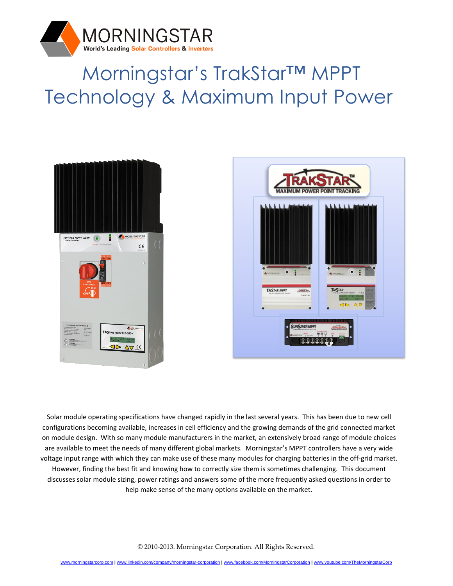

# Morningstar's TrakStar™ MPPT Technology & Maximum Input Power





Solar module operating specifications have changed rapidly in the last several years. This has been due to new cell configurations becoming available, increases in cell efficiency and the growing demands of the grid connected market on module design. With so many module manufacturers in the market, an extensively broad range of module choices are available to meet the needs of many different global markets. Morningstar's MPPT controllers have a very wide voltage input range with which they can make use of these many modules for charging batteries in the off-grid market. However, finding the best fit and knowing how to correctly size them is sometimes challenging. This document discusses solar module sizing, power ratings and answers some of the more frequently asked questions in order to help make sense of the many options available on the market.

© 2010-2013. Morningstar Corporation. All Rights Reserved.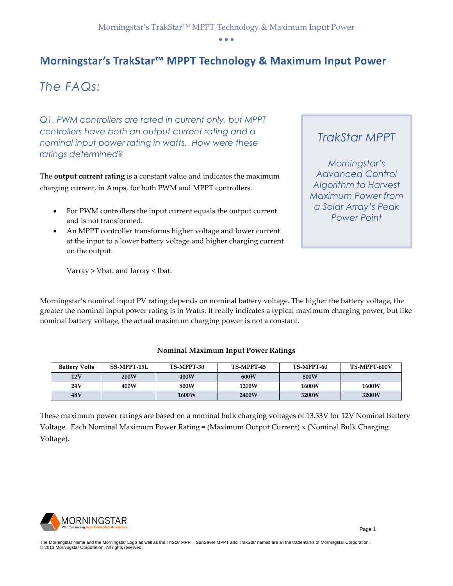## **Morningstar's TrakStar™ MPPT Technology & Maximum Input Power**

# *The FAQs:*

*Q1. PWM controllers are rated in current only, but MPPT controllers have both an output current rating and a nominal input power rating in watts. How were these ratings determined?*

The **output current rating** is a constant value and indicates the maximum charging current, in Amps, for both PWM and MPPT controllers.

- For PWM controllers the input current equals the output current and is not transformed.
- An MPPT controller transforms higher voltage and lower current at the input to a lower battery voltage and higher charging current on the output.

Varray > Vbat. and Iarray < Ibat.

# *TrakStar MPPT*

*Morningstar's Advanced Control Algorithm to Harvest Maximum Power from a Solar Array's Peak Power Point* 

Morningstar's nominal input PV rating depends on nominal battery voltage. The higher the battery voltage, the greater the nominal input power rating is in Watts. It really indicates a typical maximum charging power, but like nominal battery voltage, the actual maximum charging power is not a constant.

#### **Nominal Maximum Input Power Ratings**

| <b>Battery Volts</b> | <b>SS-MPPT-15L</b> | TS-MPPT-30   | TS-MPPT-45 | TS-MPPT-60   | TS-MPPT-600V |
|----------------------|--------------------|--------------|------------|--------------|--------------|
| 12V                  | 200W               | 400W         | 600W       | 800W         |              |
| 24 V                 | 400W               | 800W         | 1200W      | <b>1600W</b> | 1600W        |
| 48V                  |                    | <b>1600W</b> | 2400W      | 3200W        | 3200W        |

These maximum power ratings are based on a nominal bulk charging voltages of 13.33V for 12V Nominal Battery Voltage. Each Nominal Maximum Power Rating = (Maximum Output Current) x (Nominal Bulk Charging Voltage).

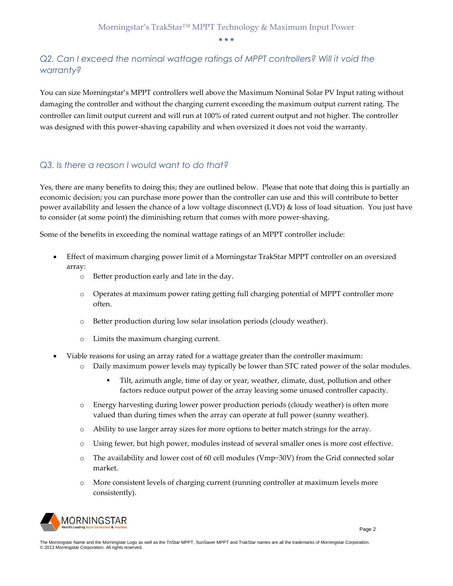## *Q2. Can I exceed the nominal wattage ratings of MPPT controllers? Will it void the warranty?*

You can size Morningstar's MPPT controllers well above the Maximum Nominal Solar PV Input rating without damaging the controller and without the charging current exceeding the maximum output current rating. The controller can limit output current and will run at 100% of rated current output and not higher. The controller was designed with this power-shaving capability and when oversized it does not void the warranty.

#### *Q3. Is there a reason I would want to do that?*

Yes, there are many benefits to doing this; they are outlined below. Please that note that doing this is partially an economic decision; you can purchase more power than the controller can use and this will contribute to better power availability and lessen the chance of a low voltage disconnect (LVD) & loss of load situation. You just have to consider (at some point) the diminishing return that comes with more power-shaving.

Some of the benefits in exceeding the nominal wattage ratings of an MPPT controller include:

- Effect of maximum charging power limit of a Morningstar TrakStar MPPT controller on an oversized array:
	- o Better production early and late in the day.
	- o Operates at maximum power rating getting full charging potential of MPPT controller more often.
	- o Better production during low solar insolation periods (cloudy weather).
	- o Limits the maximum charging current.
- Viable reasons for using an array rated for a wattage greater than the controller maximum:
	- o Daily maximum power levels may typically be lower than STC rated power of the solar modules.
		- Tilt, azimuth angle, time of day or year, weather, climate, dust, pollution and other factors reduce output power of the array leaving some unused controller capacity.
	- o Energy harvesting during lower power production periods (cloudy weather) is often more valued than during times when the array can operate at full power (sunny weather).
	- o Ability to use larger array sizes for more options to better match strings for the array.
	- o Using fewer, but high power, modules instead of several smaller ones is more cost effective.
	- o The availability and lower cost of 60 cell modules (Vmp~30V) from the Grid connected solar market.
	- o More consistent levels of charging current (running controller at maximum levels more consistently).

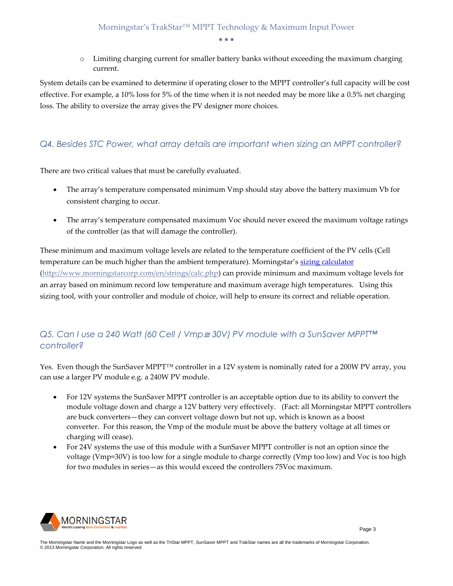o Limiting charging current for smaller battery banks without exceeding the maximum charging current.

System details can be examined to determine if operating closer to the MPPT controller's full capacity will be cost effective. For example, a 10% loss for 5% of the time when it is not needed may be more like a 0.5% net charging loss. The ability to oversize the array gives the PV designer more choices.

#### *Q4. Besides STC Power, what array details are important when sizing an MPPT controller?*

There are two critical values that must be carefully evaluated.

- The array's temperature compensated minimum Vmp should stay above the battery maximum Vb for consistent charging to occur.
- The array's temperature compensated maximum Voc should never exceed the maximum voltage ratings of the controller (as that will damage the controller).

These minimum and maximum voltage levels are related to the temperature coefficient of the PV cells (Cell temperature can be much higher than the ambient temperature). Morningstar's [sizing calculator](http://www.morningstarcorp.com/en/strings/calc.php) [\(http://www.morningstarcorp.com/en/strings/calc.php\)](http://www.morningstarcorp.com/en/strings/calc.php) can provide minimum and maximum voltage levels for an array based on minimum record low temperature and maximum average high temperatures. Using this sizing tool, with your controller and module of choice, will help to ensure its correct and reliable operation.

## *Q5. Can I use a 240 Watt (60 Cell / Vmp*<sup>≅</sup> *30V) PV module with a SunSaver MPPT™ controller?*

Yes. Even though the SunSaver MPPT™ controller in a 12V system is nominally rated for a 200W PV array, you can use a larger PV module e.g. a 240W PV module.

- For 12V systems the SunSaver MPPT controller is an acceptable option due to its ability to convert the module voltage down and charge a 12V battery very effectively. (Fact: all Morningstar MPPT controllers are buck converters—they can convert voltage down but not up, which is known as a boost converter. For this reason, the Vmp of the module must be above the battery voltage at all times or charging will cease).
- For 24V systems the use of this module with a SunSaver MPPT controller is not an option since the voltage (Vmp≈30V) is too low for a single module to charge correctly (Vmp too low) and Voc is too high for two modules in series—as this would exceed the controllers 75Voc maximum.



The Morningstar Name and the Morningstar Logo as well as the TriStar MPPT, SunSaver MPPT and TrakStar names are all the trademarks of Morningstar Corporation.<br>© 2013 Morningstar Corporation. All rights reserved.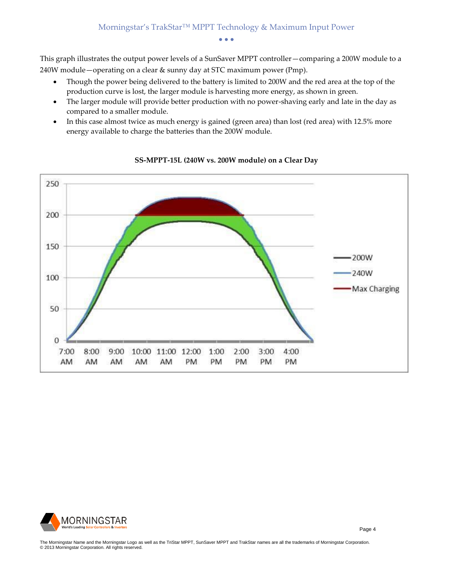This graph illustrates the output power levels of a SunSaver MPPT controller—comparing a 200W module to a 240W module—operating on a clear & sunny day at STC maximum power (Pmp).

- Though the power being delivered to the battery is limited to 200W and the red area at the top of the production curve is lost, the larger module is harvesting more energy, as shown in green.
- The larger module will provide better production with no power-shaving early and late in the day as compared to a smaller module.
- In this case almost twice as much energy is gained (green area) than lost (red area) with 12.5% more energy available to charge the batteries than the 200W module.



#### **SS-MPPT-15L (240W vs. 200W module) on a Clear Day**



The Morningstar Name and the Morningstar Logo as well as the TriStar MPPT, SunSaver MPPT and TrakStar names are all the trademarks of Morningstar Corporation.<br>© 2013 Morningstar Corporation. All rights reserved.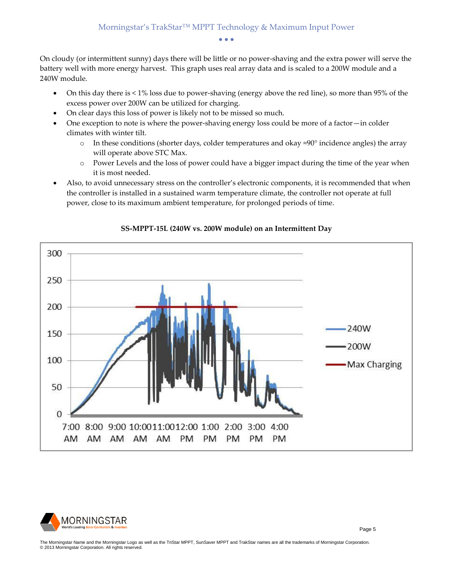On cloudy (or intermittent sunny) days there will be little or no power-shaving and the extra power will serve the battery well with more energy harvest. This graph uses real array data and is scaled to a 200W module and a 240W module.

- On this day there is < 1% loss due to power-shaving (energy above the red line), so more than 95% of the excess power over 200W can be utilized for charging.
- On clear days this loss of power is likely not to be missed so much.
- One exception to note is where the power-shaving energy loss could be more of a factor—in colder climates with winter tilt.
	- o In these conditions (shorter days, colder temperatures and okay ≈90° incidence angles) the array will operate above STC Max.
	- o Power Levels and the loss of power could have a bigger impact during the time of the year when it is most needed.
- Also, to avoid unnecessary stress on the controller's electronic components, it is recommended that when the controller is installed in a sustained warm temperature climate, the controller not operate at full power, close to its maximum ambient temperature, for prolonged periods of time.



#### **SS-MPPT-15L (240W vs. 200W module) on an Intermittent Day**



The Morningstar Name and the Morningstar Logo as well as the TriStar MPPT, SunSaver MPPT and TrakStar names are all the trademarks of Morningstar Corporation.<br>© 2013 Morningstar Corporation. All rights reserved.